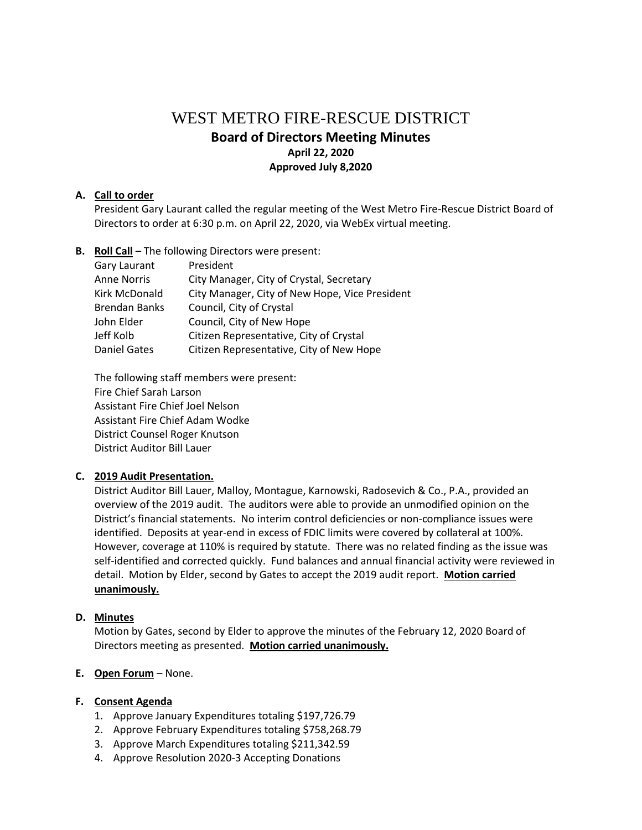# WEST METRO FIRE-RESCUE DISTRICT **Board of Directors Meeting Minutes April 22, 2020 Approved July 8,2020**

## **A. Call to order**

President Gary Laurant called the regular meeting of the West Metro Fire-Rescue District Board of Directors to order at 6:30 p.m. on April 22, 2020, via WebEx virtual meeting.

**B. Roll Call** – The following Directors were present:

| Gary Laurant         | President                                      |
|----------------------|------------------------------------------------|
| <b>Anne Norris</b>   | City Manager, City of Crystal, Secretary       |
| Kirk McDonald        | City Manager, City of New Hope, Vice President |
| <b>Brendan Banks</b> | Council, City of Crystal                       |
| John Elder           | Council, City of New Hope                      |
| Jeff Kolb            | Citizen Representative, City of Crystal        |
| <b>Daniel Gates</b>  | Citizen Representative, City of New Hope       |

The following staff members were present: Fire Chief Sarah Larson Assistant Fire Chief Joel Nelson Assistant Fire Chief Adam Wodke District Counsel Roger Knutson District Auditor Bill Lauer

## **C. 2019 Audit Presentation.**

District Auditor Bill Lauer, Malloy, Montague, Karnowski, Radosevich & Co., P.A., provided an overview of the 2019 audit. The auditors were able to provide an unmodified opinion on the District's financial statements. No interim control deficiencies or non-compliance issues were identified. Deposits at year-end in excess of FDIC limits were covered by collateral at 100%. However, coverage at 110% is required by statute. There was no related finding as the issue was self-identified and corrected quickly. Fund balances and annual financial activity were reviewed in detail. Motion by Elder, second by Gates to accept the 2019 audit report. **Motion carried unanimously.**

## **D. Minutes**

Motion by Gates, second by Elder to approve the minutes of the February 12, 2020 Board of Directors meeting as presented. **Motion carried unanimously.**

## **E. Open Forum** – None.

## **F. Consent Agenda**

- 1. Approve January Expenditures totaling \$197,726.79
- 2. Approve February Expenditures totaling \$758,268.79
- 3. Approve March Expenditures totaling \$211,342.59
- 4. Approve Resolution 2020-3 Accepting Donations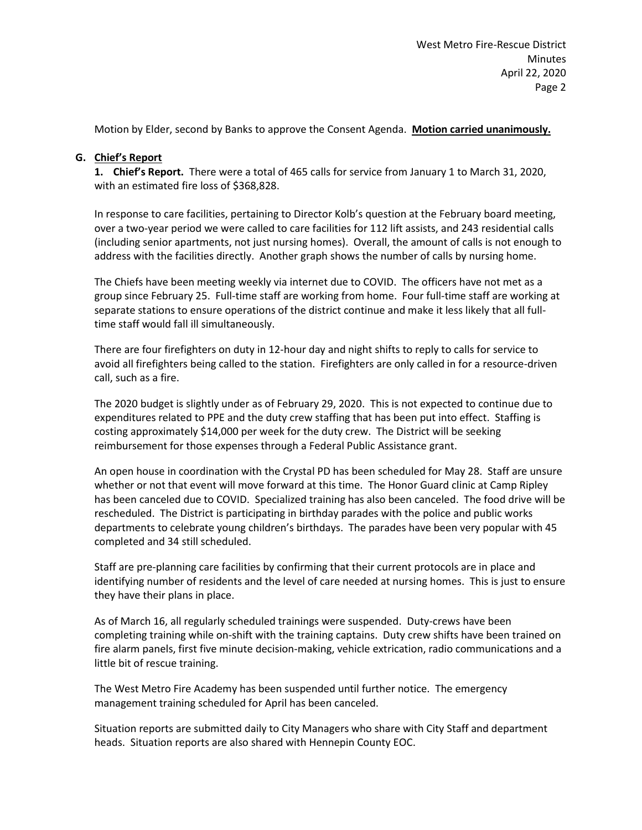Motion by Elder, second by Banks to approve the Consent Agenda. **Motion carried unanimously.**

## **G. Chief's Report**

**1. Chief's Report.** There were a total of 465 calls for service from January 1 to March 31, 2020, with an estimated fire loss of \$368,828.

In response to care facilities, pertaining to Director Kolb's question at the February board meeting, over a two-year period we were called to care facilities for 112 lift assists, and 243 residential calls (including senior apartments, not just nursing homes). Overall, the amount of calls is not enough to address with the facilities directly. Another graph shows the number of calls by nursing home.

The Chiefs have been meeting weekly via internet due to COVID. The officers have not met as a group since February 25. Full-time staff are working from home. Four full-time staff are working at separate stations to ensure operations of the district continue and make it less likely that all fulltime staff would fall ill simultaneously.

There are four firefighters on duty in 12-hour day and night shifts to reply to calls for service to avoid all firefighters being called to the station. Firefighters are only called in for a resource-driven call, such as a fire.

The 2020 budget is slightly under as of February 29, 2020. This is not expected to continue due to expenditures related to PPE and the duty crew staffing that has been put into effect. Staffing is costing approximately \$14,000 per week for the duty crew. The District will be seeking reimbursement for those expenses through a Federal Public Assistance grant.

An open house in coordination with the Crystal PD has been scheduled for May 28. Staff are unsure whether or not that event will move forward at this time. The Honor Guard clinic at Camp Ripley has been canceled due to COVID. Specialized training has also been canceled. The food drive will be rescheduled. The District is participating in birthday parades with the police and public works departments to celebrate young children's birthdays. The parades have been very popular with 45 completed and 34 still scheduled.

Staff are pre-planning care facilities by confirming that their current protocols are in place and identifying number of residents and the level of care needed at nursing homes. This is just to ensure they have their plans in place.

As of March 16, all regularly scheduled trainings were suspended. Duty-crews have been completing training while on-shift with the training captains. Duty crew shifts have been trained on fire alarm panels, first five minute decision-making, vehicle extrication, radio communications and a little bit of rescue training.

The West Metro Fire Academy has been suspended until further notice. The emergency management training scheduled for April has been canceled.

Situation reports are submitted daily to City Managers who share with City Staff and department heads. Situation reports are also shared with Hennepin County EOC.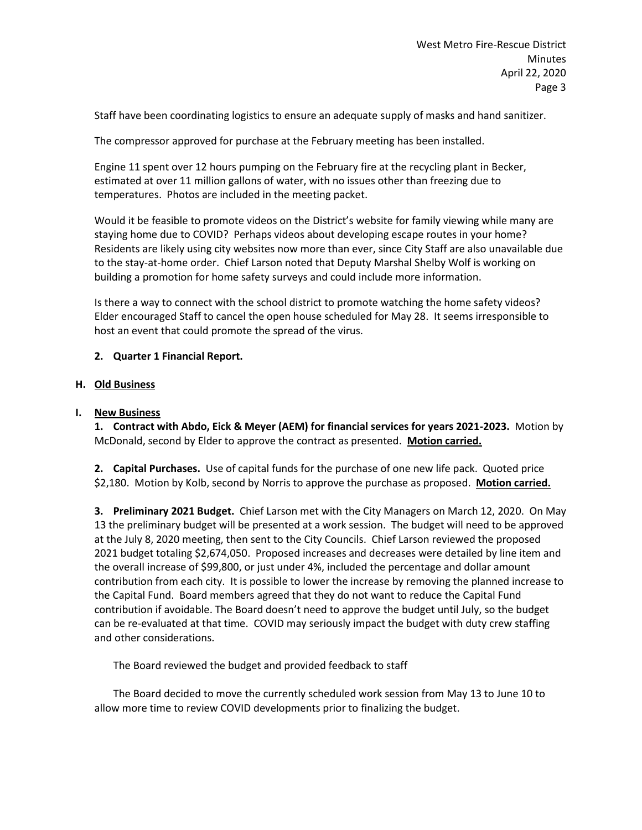Staff have been coordinating logistics to ensure an adequate supply of masks and hand sanitizer.

The compressor approved for purchase at the February meeting has been installed.

Engine 11 spent over 12 hours pumping on the February fire at the recycling plant in Becker, estimated at over 11 million gallons of water, with no issues other than freezing due to temperatures. Photos are included in the meeting packet.

Would it be feasible to promote videos on the District's website for family viewing while many are staying home due to COVID? Perhaps videos about developing escape routes in your home? Residents are likely using city websites now more than ever, since City Staff are also unavailable due to the stay-at-home order. Chief Larson noted that Deputy Marshal Shelby Wolf is working on building a promotion for home safety surveys and could include more information.

Is there a way to connect with the school district to promote watching the home safety videos? Elder encouraged Staff to cancel the open house scheduled for May 28. It seems irresponsible to host an event that could promote the spread of the virus.

# **2. Quarter 1 Financial Report.**

## **H. Old Business**

## **I. New Business**

**1. Contract with Abdo, Eick & Meyer (AEM) for financial services for years 2021-2023.** Motion by McDonald, second by Elder to approve the contract as presented. **Motion carried.**

**2. Capital Purchases.** Use of capital funds for the purchase of one new life pack. Quoted price \$2,180. Motion by Kolb, second by Norris to approve the purchase as proposed. **Motion carried.**

**3. Preliminary 2021 Budget.** Chief Larson met with the City Managers on March 12, 2020. On May 13 the preliminary budget will be presented at a work session. The budget will need to be approved at the July 8, 2020 meeting, then sent to the City Councils. Chief Larson reviewed the proposed 2021 budget totaling \$2,674,050. Proposed increases and decreases were detailed by line item and the overall increase of \$99,800, or just under 4%, included the percentage and dollar amount contribution from each city. It is possible to lower the increase by removing the planned increase to the Capital Fund. Board members agreed that they do not want to reduce the Capital Fund contribution if avoidable. The Board doesn't need to approve the budget until July, so the budget can be re-evaluated at that time. COVID may seriously impact the budget with duty crew staffing and other considerations.

The Board reviewed the budget and provided feedback to staff

The Board decided to move the currently scheduled work session from May 13 to June 10 to allow more time to review COVID developments prior to finalizing the budget.